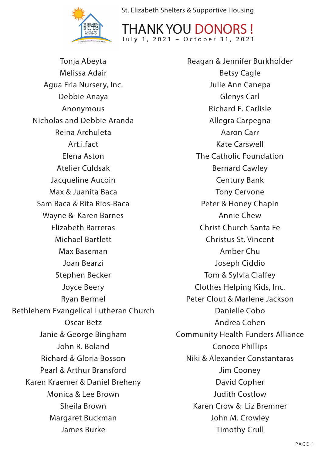

THANK YOU DONORS ! July 1, 2021 – October 31, 2021

Tonja Abeyta Melissa Adair Agua Fria Nursery, Inc. Debbie Anaya Anonymous Nicholas and Debbie Aranda Reina Archuleta Art.i.fact Elena Aston Atelier Culdsak Jacqueline Aucoin Max & Juanita Baca Sam Baca & Rita Rios-Baca Wayne & Karen Barnes Elizabeth Barreras Michael Bartlett Max Baseman Joan Bearzi Stephen Becker Joyce Beery Ryan Bermel Bethlehem Evangelical Lutheran Church Oscar Betz Janie & George Bingham John R. Boland Richard & Gloria Bosson Pearl & Arthur Bransford Karen Kraemer & Daniel Breheny Monica & Lee Brown Sheila Brown Margaret Buckman James Burke

Reagan & Jennifer Burkholder Betsy Cagle Julie Ann Canepa Glenys Carl Richard E. Carlisle Allegra Carpegna Aaron Carr Kate Carswell The Catholic Foundation Bernard Cawley Century Bank Tony Cervone Peter & Honey Chapin Annie Chew Christ Church Santa Fe Christus St. Vincent Amber Chu Joseph Ciddio Tom & Sylvia Claffey Clothes Helping Kids, Inc. Peter Clout & Marlene Jackson Danielle Cobo Andrea Cohen Community Health Funders Alliance Conoco Phillips Niki & Alexander Constantaras Jim Cooney David Copher Judith Costlow Karen Crow & Liz Bremner John M. Crowley Timothy Crull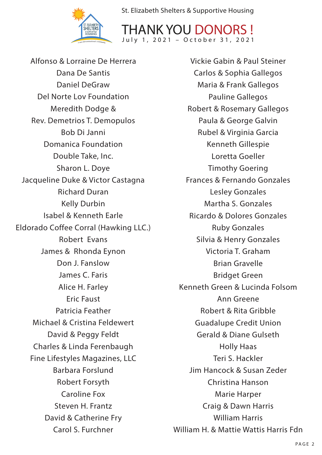



Alfonso & Lorraine De Herrera Dana De Santis Daniel DeGraw Del Norte Lov Foundation Meredith Dodge & Rev. Demetrios T. Demopulos Bob Di Janni Domanica Foundation Double Take, Inc. Sharon L. Doye Jacqueline Duke & Victor Castagna Richard Duran Kelly Durbin Isabel & Kenneth Earle Eldorado Coffee Corral (Hawking LLC.) Robert Evans James & Rhonda Eynon Don J. Fanslow James C. Faris Alice H. Farley Eric Faust Patricia Feather Michael & Cristina Feldewert David & Peggy Feldt Charles & Linda Ferenbaugh Fine Lifestyles Magazines, LLC Barbara Forslund Robert Forsyth Caroline Fox Steven H. Frantz David & Catherine Fry Carol S. Furchner

Vickie Gabin & Paul Steiner Carlos & Sophia Gallegos Maria & Frank Gallegos Pauline Gallegos Robert & Rosemary Gallegos Paula & George Galvin Rubel & Virginia Garcia Kenneth Gillespie Loretta Goeller Timothy Goering Frances & Fernando Gonzales Lesley Gonzales Martha S. Gonzales Ricardo & Dolores Gonzales Ruby Gonzales Silvia & Henry Gonzales Victoria T. Graham Brian Gravelle Bridget Green Kenneth Green & Lucinda Folsom Ann Greene Robert & Rita Gribble Guadalupe Credit Union Gerald & Diane Gulseth Holly Haas Teri S. Hackler Jim Hancock & Susan Zeder Christina Hanson Marie Harper Craig & Dawn Harris William Harris William H. & Mattie Wattis Harris Fdn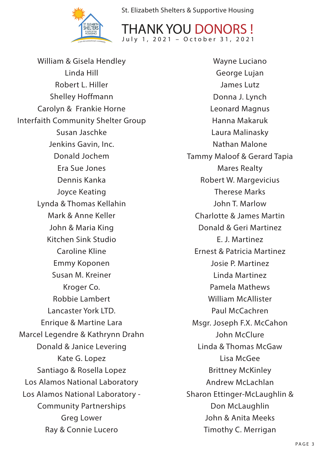



William & Gisela Hendley Linda Hill Robert L. Hiller Shelley Hoffmann Carolyn & Frankie Horne Interfaith Community Shelter Group Susan Jaschke Jenkins Gavin, Inc. Donald Jochem Era Sue Jones Dennis Kanka Joyce Keating Lynda & Thomas Kellahin Mark & Anne Keller John & Maria King Kitchen Sink Studio Caroline Kline Emmy Koponen Susan M. Kreiner Kroger Co. Robbie Lambert Lancaster York LTD. Enrique & Martine Lara Marcel Legendre & Kathrynn Drahn Donald & Janice Levering Kate G. Lopez Santiago & Rosella Lopez Los Alamos National Laboratory Los Alamos National Laboratory - Community Partnerships Greg Lower Ray & Connie Lucero

Wayne Luciano George Lujan James Lutz Donna J. Lynch Leonard Magnus Hanna Makaruk Laura Malinasky Nathan Malone Tammy Maloof & Gerard Tapia Mares Realty Robert W. Margevicius Therese Marks John T. Marlow Charlotte & James Martin Donald & Geri Martinez E. J. Martinez Ernest & Patricia Martinez Josie P. Martinez Linda Martinez Pamela Mathews William McAllister Paul McCachren Msgr. Joseph F.X. McCahon John McClure Linda & Thomas McGaw Lisa McGee Brittney McKinley Andrew McLachlan Sharon Ettinger-McLaughlin & Don McLaughlin John & Anita Meeks Timothy C. Merrigan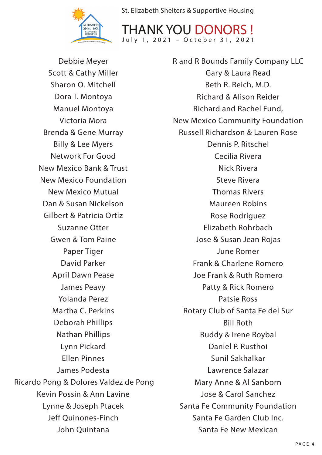

THANK YOU DONOR July 1, 2021 – October 31, 2021

Debbie Meyer Scott & Cathy Miller Sharon O. Mitchell Dora T. Montoya Manuel Montoya Victoria Mora Brenda & Gene Murray Billy & Lee Myers Network For Good New Mexico Bank & Trust New Mexico Foundation New Mexico Mutual Dan & Susan Nickelson Gilbert & Patricia Ortiz Suzanne Otter Gwen & Tom Paine Paper Tiger David Parker April Dawn Pease James Peavy Yolanda Perez Martha C. Perkins Deborah Phillips Nathan Phillips Lynn Pickard Ellen Pinnes James Podesta Ricardo Pong & Dolores Valdez de Pong Kevin Possin & Ann Lavine Lynne & Joseph Ptacek Jeff Quinones-Finch John Quintana

R and R Bounds Family Company LLC Gary & Laura Read Beth R. Reich, M.D. Richard & Alison Reider Richard and Rachel Fund, New Mexico Community Foundation Russell Richardson & Lauren Rose Dennis P. Ritschel Cecilia Rivera Nick Rivera Steve Rivera Thomas Rivers Maureen Robins Rose Rodriguez Elizabeth Rohrbach Jose & Susan Jean Rojas June Romer Frank & Charlene Romero Joe Frank & Ruth Romero Patty & Rick Romero Patsie Ross Rotary Club of Santa Fe del Sur Bill Roth Buddy & Irene Roybal Daniel P. Rusthoi Sunil Sakhalkar Lawrence Salazar Mary Anne & Al Sanborn Jose & Carol Sanchez Santa Fe Community Foundation Santa Fe Garden Club Inc. Santa Fe New Mexican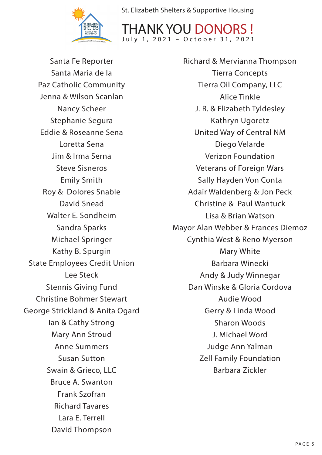

THANK YOU DONORS ! July 1, 2021 – October 31, 2021

Santa Fe Reporter Santa Maria de la Paz Catholic Community Jenna & Wilson Scanlan Nancy Scheer Stephanie Segura Eddie & Roseanne Sena Loretta Sena Jim & Irma Serna Steve Sisneros Emily Smith Roy & Dolores Snable David Snead Walter E. Sondheim Sandra Sparks Michael Springer Kathy B. Spurgin State Employees Credit Union Lee Steck Stennis Giving Fund Christine Bohmer Stewart George Strickland & Anita Ogard Ian & Cathy Strong Mary Ann Stroud Anne Summers Susan Sutton Swain & Grieco, LLC Bruce A. Swanton Frank Szofran Richard Tavares Lara E. Terrell David Thompson

Richard & Mervianna Thompson Tierra Concepts Tierra Oil Company, LLC Alice Tinkle J. R. & Elizabeth Tyldesley Kathryn Ugoretz United Way of Central NM Diego Velarde Verizon Foundation Veterans of Foreign Wars Sally Hayden Von Conta Adair Waldenberg & Jon Peck Christine & Paul Wantuck Lisa & Brian Watson Mayor Alan Webber & Frances Diemoz Cynthia West & Reno Myerson Mary White Barbara Winecki Andy & Judy Winnegar Dan Winske & Gloria Cordova Audie Wood Gerry & Linda Wood Sharon Woods J. Michael Word Judge Ann Yalman Zell Family Foundation Barbara Zickler